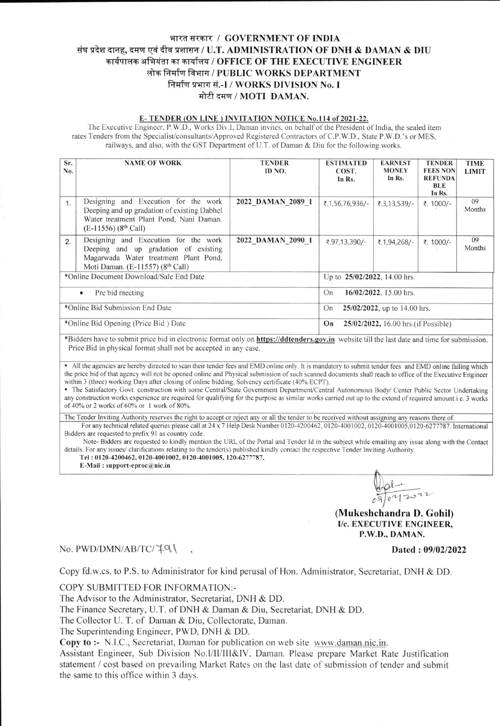## भारत सरकार / GOVERNMENT OF INDIA संघ प्रदेश दानह, दमण एवं दीव प्रशासन / U.T. ADMINISTRATION OF DNH & DAMAN & DIU कार्यपालक अभियंता का कार्यालय / OFFICE OF THE EXECUTIVE ENGINEER लोक निर्माण विभाग / PUBLIC WORKS DEPARTMENT निर्माण प्रभाग सं.-I / WORKS DIVISION No. I मोटी दमण / MOTI DAMAN.

## E-TENDER (ON LINE) INVITATION NOTICE No.114 of 2021-22.

The Executive Engineer, P.W.D., Works Div.I, Daman invites, on behalf of the President of India, the sealed item rates Tenders from the Specialist/consultants/Approved Registered Contractors of C.P.W.D., State P.W.D.'s or MES, railways, and also, with the GST Department of U.T. of Daman & Diu for the following works.

| Sr.<br>No.                                            | <b>NAME OF WORK</b>                                                                                                                                                   | <b>TENDER</b><br>ID NO. | <b>ESTIMATED</b><br>COST.<br>In Rs.        | <b>EARNEST</b><br><b>MONEY</b><br>In Rs. | <b>TENDER</b><br><b>FEES NON</b><br><b>REFUNDA</b><br><b>BLE</b><br>In Rs. | <b>TIME</b><br><b>LIMIT</b> |  |
|-------------------------------------------------------|-----------------------------------------------------------------------------------------------------------------------------------------------------------------------|-------------------------|--------------------------------------------|------------------------------------------|----------------------------------------------------------------------------|-----------------------------|--|
| 1.                                                    | Designing and Execution for the work<br>Deeping and up gradation of existing Dabhel<br>Water treatment Plant Pond, Nani Daman.<br>$(E-11556)$ (8 <sup>th</sup> Call)  | 2022 DAMAN 2089 1       | ₹.1,56,76,936/-                            | ₹.3,13,539/-                             | ₹. 1000/-                                                                  | 09<br>Months                |  |
| 2.                                                    | Designing and Execution for the work<br>Deeping and up gradation of existing<br>Magarwada Water treatment Plant Pond,<br>Moti Daman. (E-11557) (8 <sup>th</sup> Call) | 2022 DAMAN 2090 1       | ₹.97,13,390/-                              | ₹.1,94,268/-                             | ₹. 1000/-                                                                  | 09<br>Months                |  |
| *Online Document Download/Sale End Date               |                                                                                                                                                                       |                         | Up to 25/02/2022, 14.00 hrs.               |                                          |                                                                            |                             |  |
| Pre bid meeting<br>$\bullet$                          |                                                                                                                                                                       |                         | 16/02/2022, 15.00 hrs.<br>On               |                                          |                                                                            |                             |  |
| *Online Bid Submission End Date                       |                                                                                                                                                                       |                         | $25/02/2022$ , up to 14.00 hrs.<br>On      |                                          |                                                                            |                             |  |
| *Online Bid Opening (Price Bid) Date<br>$\sim$ $\sim$ |                                                                                                                                                                       |                         | 25/02/2022, 16.00 hrs. (if Possible)<br>On |                                          |                                                                            |                             |  |

\*Bidders have to submit price bid in electronic format only on **https://ddtenders.gov.in** website till the last date and time for submission. Price Bid in physical format shall not be accepted in any case.

• All the agencies are hereby directed to scan their tender fees and EMD online only. It is mandatory to submit tender fees and EMD online failing which the price bid of that agency will not be opened online and Physical submission of such scanned documents shall reach to office of the Executive Engineer within 3 (three) working Days after closing of online bidding. Solvency certificate (40% ECPT).

• The Satisfactory Govt. construction with some Central/State Government Department/Central Autonomous Body/ Center Public Sector Undertaking any construction works experience are required for qualifying for the purpose as similar works carried out up to the extend of required amount i.e. 3 works of 40% or 2 works of 60% or 1 work of 80%.

The Tender Inviting Authority reserves the right to accept or reject any or all the tender to be received without assigning any reasons there of.

For any technical related queries please call at 24 x 7 Help Desk Number 0120-4200462, 0120-4001002, 0120-4001005,0120-6277787. International Bidders are requested to prefix 91 as country code.

Note-Bidders are requested to kindly mention the URL of the Portal and Tender Id in the subject while emailing any issue along with the Contact details. For any issues/ clarifications relating to the tender(s) published kindly contact the respective Tender Inviting Authority.

Tel: 0120-4200462, 0120-4001002, 0120-4001005, 120-6277787, E-Mail: support-eproc $@$ nic.in

(Mukeshchandra D. Gohil) I/c. EXECUTIVE ENGINEER, P.W.D., DAMAN.

No. PWD/DMN/AB/TC/79

## Dated: 09/02/2022

Copy fd.w.cs. to P.S. to Administrator for kind perusal of Hon. Administrator, Secretariat, DNH & DD.

COPY SUBMITTED FOR INFORMATION:-

The Advisor to the Administrator, Secretariat, DNH & DD.

The Finance Secretary, U.T. of DNH & Daman & Diu, Secretariat, DNH & DD.

The Collector U. T. of Daman & Diu, Collectorate, Daman.

The Superintending Engineer, PWD, DNH & DD.

Copy to :- N.I.C., Secretariat, Daman for publication on web site www.daman.nic.in.

Assistant Engineer, Sub Division No.I/II/III&IV, Daman. Please prepare Market Rate Justification statement / cost based on prevailing Market Rates on the last date of submission of tender and submit the same to this office within 3 days.